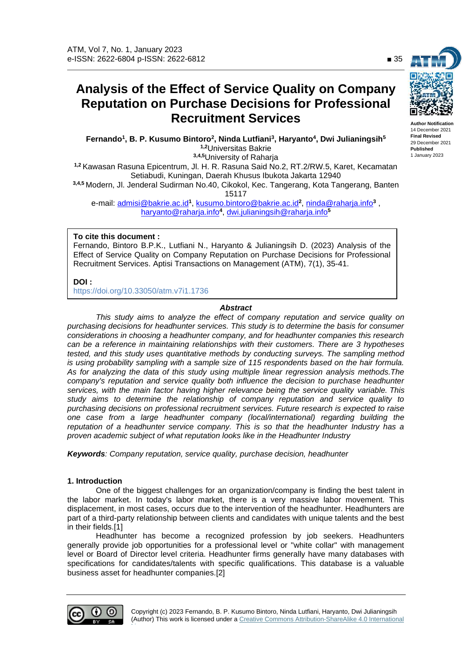# **Analysis of the Effect of Service Quality on Company Reputation on Purchase Decisions for Professional Recruitment Services**

**Fernando<sup>1</sup> , B. P. Kusumo Bintoro<sup>2</sup> , Ninda Lutfiani<sup>3</sup> , Haryanto<sup>4</sup> , Dwi Julianingsih<sup>5</sup> 1,2**Universitas Bakrie **3,4,5**University of Raharja

**1,2** Kawasan Rasuna Epicentrum, Jl. H. R. Rasuna Said No.2, RT.2/RW.5, Karet, Kecamatan Setiabudi, Kuningan, Daerah Khusus Ibukota Jakarta 12940 **3,4,5** Modern, Jl. Jenderal Sudirman No.40, Cikokol, Kec. Tangerang, Kota Tangerang, Banten 15117

e-mail: <u>admisi@bakrie.ac.id</u>1, <u>kusumo.bintoro@bakrie.ac.id</u>2, <u>ninda@raharja.info</u>3 , haryanto@raharja.info**<sup>4</sup>** , dwi.julianingsih@raharja.info**<sup>5</sup>**

# **To cite this document :**

Fernando, Bintoro B.P.K., Lutfiani N., Haryanto & Julianingsih D. (2023) Analysis of the Effect of Service Quality on Company Reputation on Purchase Decisions for Professional Recruitment Services. Aptisi Transactions on Management (ATM), 7(1), 35-41.

**DOI :**

https://doi.org/10.33050/atm.v7i1.1736

# *Abstract*

*This study aims to analyze the effect of company reputation and service quality on purchasing decisions for headhunter services. This study is to determine the basis for consumer considerations in choosing a headhunter company, and for headhunter companies this research can be a reference in maintaining relationships with their customers. There are 3 hypotheses tested, and this study uses quantitative methods by conducting surveys. The sampling method is using probability sampling with a sample size of 115 respondents based on the hair formula. As for analyzing the data of this study using multiple linear regression analysis methods.The company's reputation and service quality both influence the decision to purchase headhunter services, with the main factor having higher relevance being the service quality variable. This study aims to determine the relationship of company reputation and service quality to purchasing decisions on professional recruitment services. Future research is expected to raise one case from a large headhunter company (local/international) regarding building the reputation of a headhunter service company. This is so that the headhunter Industry has a proven academic subject of what reputation looks like in the Headhunter Industry*

*Keywords: Company reputation, service quality, purchase decision, headhunter*

## **1. Introduction**

One of the biggest challenges for an organization/company is finding the best talent in the labor market. In today's labor market, there is a very massive labor movement. This displacement, in most cases, occurs due to the intervention of the headhunter. Headhunters are part of a third-party relationship between clients and candidates with unique talents and the best in their fields.[1]

Headhunter has become a recognized profession by job seekers. Headhunters generally provide job opportunities for a professional level or "white collar" with management level or Board of Director level criteria. Headhunter firms generally have many databases with specifications for candidates/talents with specific qualifications. This database is a valuable business asset for headhunter companies.[2]



License.



**Author Notification** 14 December 2021 **Final Revised**  29 December 2021 **Published** 1 January 2023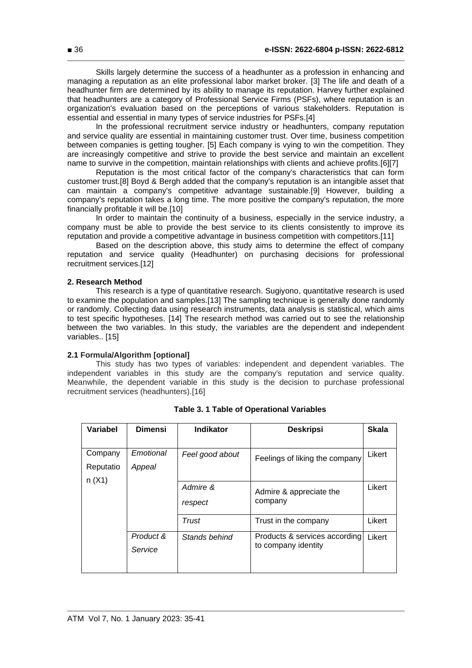Skills largely determine the success of a headhunter as a profession in enhancing and managing a reputation as an elite professional labor market broker. [3] The life and death of a headhunter firm are determined by its ability to manage its reputation. Harvey further explained that headhunters are a category of Professional Service Firms (PSFs), where reputation is an organization's evaluation based on the perceptions of various stakeholders. Reputation is essential and essential in many types of service industries for PSFs.[4]

In the professional recruitment service industry or headhunters, company reputation and service quality are essential in maintaining customer trust. Over time, business competition between companies is getting tougher. [5] Each company is vying to win the competition. They are increasingly competitive and strive to provide the best service and maintain an excellent name to survive in the competition, maintain relationships with clients and achieve profits.[6][7]

Reputation is the most critical factor of the company's characteristics that can form customer trust.[8] Boyd & Bergh added that the company's reputation is an intangible asset that can maintain a company's competitive advantage sustainable.[9] However, building a company's reputation takes a long time. The more positive the company's reputation, the more financially profitable it will be.[10]

In order to maintain the continuity of a business, especially in the service industry, a company must be able to provide the best service to its clients consistently to improve its reputation and provide a competitive advantage in business competition with competitors.[11]

Based on the description above, this study aims to determine the effect of company reputation and service quality (Headhunter) on purchasing decisions for professional recruitment services.[12]

## **2. Research Method**

This research is a type of quantitative research. Sugiyono, quantitative research is used to examine the population and samples.[13] The sampling technique is generally done randomly or randomly. Collecting data using research instruments, data analysis is statistical, which aims to test specific hypotheses. [14] The research method was carried out to see the relationship between the two variables. In this study, the variables are the dependent and independent variables.. [15]

## **2.1 Formula/Algorithm [optional]**

This study has two types of variables: independent and dependent variables. The independent variables in this study are the company's reputation and service quality. Meanwhile, the dependent variable in this study is the decision to purchase professional recruitment services (headhunters).[16]

| Variabel             | <b>Dimensi</b>       | <b>Indikator</b>    | <b>Deskripsi</b>                                     | <b>Skala</b> |
|----------------------|----------------------|---------------------|------------------------------------------------------|--------------|
| Company<br>Reputatio | Emotional<br>Appeal  | Feel good about     | Feelings of liking the company                       | Likert       |
| n(X1)                |                      | Admire &<br>respect | Admire & appreciate the<br>company                   | Likert       |
|                      |                      | Trust               | Trust in the company                                 | Likert       |
|                      | Product &<br>Service | Stands behind       | Products & services according<br>to company identity | Likert       |

|  |  | <b>Table 3. 1 Table of Operational Variables</b> |  |
|--|--|--------------------------------------------------|--|
|--|--|--------------------------------------------------|--|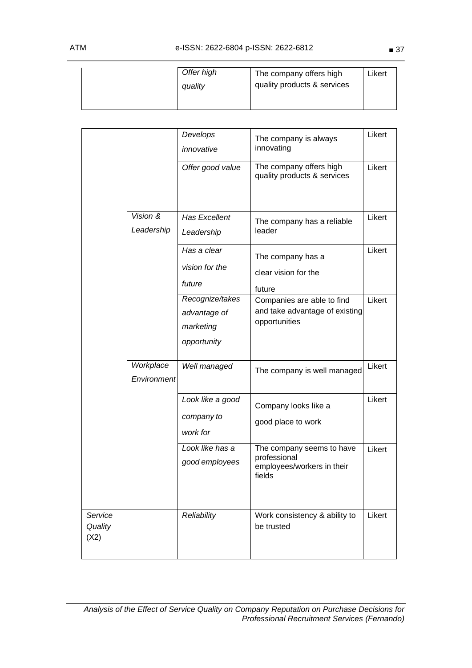|  | Offer high | The company offers high     | Likert |
|--|------------|-----------------------------|--------|
|  | quality    | quality products & services |        |
|  |            |                             |        |

|                            |                           | Develops<br>innovative                                      | The company is always<br>innovating                                               | Likert |
|----------------------------|---------------------------|-------------------------------------------------------------|-----------------------------------------------------------------------------------|--------|
|                            |                           | Offer good value                                            | The company offers high<br>quality products & services                            | Likert |
|                            | Vision $\&$<br>Leadership | <b>Has Excellent</b><br>Leadership                          | The company has a reliable<br>leader                                              | Likert |
|                            |                           | Has a clear<br>vision for the<br>future                     | The company has a<br>clear vision for the<br>future                               | Likert |
|                            |                           | Recognize/takes<br>advantage of<br>marketing<br>opportunity | Companies are able to find<br>and take advantage of existing<br>opportunities     | Likert |
|                            | Workplace<br>Environment  | Well managed                                                | The company is well managed                                                       | Likert |
|                            |                           | Look like a good<br>company to<br>work for                  | Company looks like a<br>good place to work                                        | Likert |
|                            |                           | Look like has a<br>good employees                           | The company seems to have<br>professional<br>employees/workers in their<br>fields | Likert |
| Service<br>Quality<br>(X2) |                           | Reliability                                                 | Work consistency & ability to<br>be trusted                                       | Likert |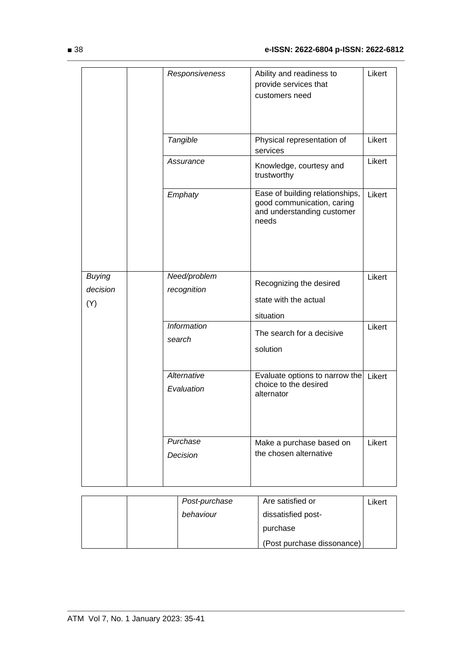|                           | Responsiveness               | Ability and readiness to<br>provide services that<br>customers need                                  | Likert |
|---------------------------|------------------------------|------------------------------------------------------------------------------------------------------|--------|
|                           | Tangible                     | Physical representation of<br>services                                                               | Likert |
|                           | Assurance                    | Knowledge, courtesy and<br>trustworthy                                                               | Likert |
|                           | Emphaty                      | Ease of building relationships,<br>good communication, caring<br>and understanding customer<br>needs | Likert |
| <b>Buying</b><br>decision | Need/problem<br>recognition  | Recognizing the desired                                                                              | Likert |
| (Y)                       |                              | state with the actual<br>situation                                                                   |        |
|                           | <b>Information</b><br>search | The search for a decisive<br>solution                                                                | Likert |
|                           | Alternative<br>Evaluation    | Evaluate options to narrow the<br>choice to the desired<br>alternator                                | Likert |
|                           | Purchase<br>Decision         | Make a purchase based on<br>the chosen alternative                                                   | Likert |

|  | Post-purchase | Are satisfied or           | Likert |
|--|---------------|----------------------------|--------|
|  | behaviour     | dissatisfied post-         |        |
|  |               | purchase                   |        |
|  |               | (Post purchase dissonance) |        |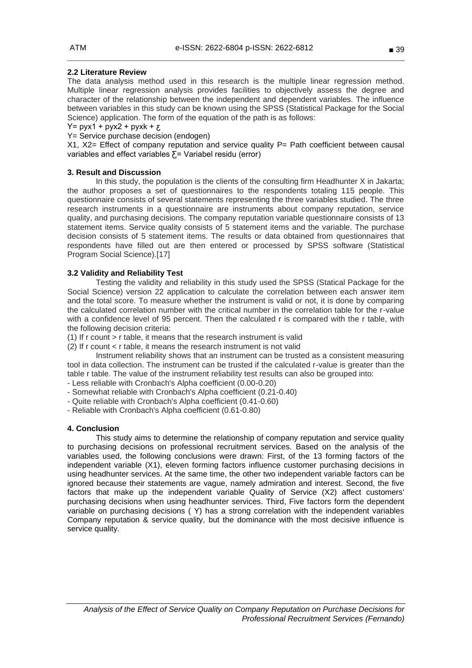# **2.2 Literature Review**

The data analysis method used in this research is the multiple linear regression method. Multiple linear regression analysis provides facilities to objectively assess the degree and character of the relationship between the independent and dependent variables. The influence between variables in this study can be known using the SPSS (Statistical Package for the Social Science) application. The form of the equation of the path is as follows:

 $Y=$  pyx1 + pyx2 + pyxk +  $\overline{Y}$ 

Y= Service purchase decision (endogen)

X1, X2= Effect of company reputation and service quality P= Path coefficient between causal variables and effect variables  $\overline{\Sigma}$  = Variabel residu (error)

# **3. Result and Discussion**

In this study, the population is the clients of the consulting firm Headhunter X in Jakarta; the author proposes a set of questionnaires to the respondents totaling 115 people. This questionnaire consists of several statements representing the three variables studied. The three research instruments in a questionnaire are instruments about company reputation, service quality, and purchasing decisions. The company reputation variable questionnaire consists of 13 statement items. Service quality consists of 5 statement items and the variable. The purchase decision consists of 5 statement items. The results or data obtained from questionnaires that respondents have filled out are then entered or processed by SPSS software (Statistical Program Social Science).[17]

# **3.2 Validity and Reliability Test**

Testing the validity and reliability in this study used the SPSS (Statical Package for the Social Science) version 22 application to calculate the correlation between each answer item and the total score. To measure whether the instrument is valid or not, it is done by comparing the calculated correlation number with the critical number in the correlation table for the r-value with a confidence level of 95 percent. Then the calculated r is compared with the r table, with the following decision criteria:

- (1) If r count > r table, it means that the research instrument is valid
- (2) If r count < r table, it means the research instrument is not valid

Instrument reliability shows that an instrument can be trusted as a consistent measuring tool in data collection. The instrument can be trusted if the calculated r-value is greater than the table r table. The value of the instrument reliability test results can also be grouped into:

- Less reliable with Cronbach's Alpha coefficient (0.00-0.20)
- Somewhat reliable with Cronbach's Alpha coefficient (0.21-0.40)
- Quite reliable with Cronbach's Alpha coefficient (0.41-0.60)
- Reliable with Cronbach's Alpha coefficient (0.61-0.80)

## **4. Conclusion**

This study aims to determine the relationship of company reputation and service quality to purchasing decisions on professional recruitment services. Based on the analysis of the variables used, the following conclusions were drawn: First, of the 13 forming factors of the independent variable (X1), eleven forming factors influence customer purchasing decisions in using headhunter services. At the same time, the other two independent variable factors can be ignored because their statements are vague, namely admiration and interest. Second, the five factors that make up the independent variable Quality of Service (X2) affect customers' purchasing decisions when using headhunter services. Third, Five factors form the dependent variable on purchasing decisions ( Y) has a strong correlation with the independent variables Company reputation & service quality, but the dominance with the most decisive influence is service quality.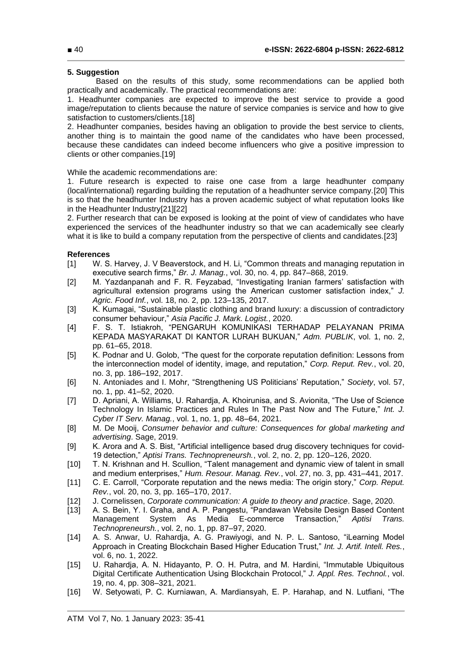## **5. Suggestion**

Based on the results of this study, some recommendations can be applied both practically and academically. The practical recommendations are:

1. Headhunter companies are expected to improve the best service to provide a good image/reputation to clients because the nature of service companies is service and how to give satisfaction to customers/clients.[18]

2. Headhunter companies, besides having an obligation to provide the best service to clients, another thing is to maintain the good name of the candidates who have been processed, because these candidates can indeed become influencers who give a positive impression to clients or other companies.[19]

While the academic recommendations are:

1. Future research is expected to raise one case from a large headhunter company (local/international) regarding building the reputation of a headhunter service company.[20] This is so that the headhunter Industry has a proven academic subject of what reputation looks like in the Headhunter Industry[21][22]

2. Further research that can be exposed is looking at the point of view of candidates who have experienced the services of the headhunter industry so that we can academically see clearly what it is like to build a company reputation from the perspective of clients and candidates.[23]

## **References**

- [1] W. S. Harvey, J. V Beaverstock, and H. Li, "Common threats and managing reputation in executive search firms," *Br. J. Manag.*, vol. 30, no. 4, pp. 847–868, 2019.
- [2] M. Yazdanpanah and F. R. Feyzabad, "Investigating Iranian farmers' satisfaction with agricultural extension programs using the American customer satisfaction index," *J. Agric. Food Inf.*, vol. 18, no. 2, pp. 123–135, 2017.
- [3] K. Kumagai, "Sustainable plastic clothing and brand luxury: a discussion of contradictory consumer behaviour," *Asia Pacific J. Mark. Logist.*, 2020.
- [4] F. S. T. Istiakroh, "PENGARUH KOMUNIKASI TERHADAP PELAYANAN PRIMA KEPADA MASYARAKAT DI KANTOR LURAH BUKUAN," *Adm. PUBLIK*, vol. 1, no. 2, pp. 61–65, 2018.
- [5] K. Podnar and U. Golob, "The quest for the corporate reputation definition: Lessons from the interconnection model of identity, image, and reputation," *Corp. Reput. Rev.*, vol. 20, no. 3, pp. 186–192, 2017.
- [6] N. Antoniades and I. Mohr, "Strengthening US Politicians' Reputation," *Society*, vol. 57, no. 1, pp. 41–52, 2020.
- [7] D. Apriani, A. Williams, U. Rahardja, A. Khoirunisa, and S. Avionita, "The Use of Science Technology In Islamic Practices and Rules In The Past Now and The Future," *Int. J. Cyber IT Serv. Manag.*, vol. 1, no. 1, pp. 48–64, 2021.
- [8] M. De Mooij, *Consumer behavior and culture: Consequences for global marketing and advertising*. Sage, 2019.
- [9] K. Arora and A. S. Bist, "Artificial intelligence based drug discovery techniques for covid-19 detection," *Aptisi Trans. Technopreneursh.*, vol. 2, no. 2, pp. 120–126, 2020.
- [10] T. N. Krishnan and H. Scullion, "Talent management and dynamic view of talent in small and medium enterprises," *Hum. Resour. Manag. Rev.*, vol. 27, no. 3, pp. 431–441, 2017.
- [11] C. E. Carroll, "Corporate reputation and the news media: The origin story," *Corp. Reput. Rev.*, vol. 20, no. 3, pp. 165–170, 2017.
- [12] J. Cornelissen, *Corporate communication: A guide to theory and practice*. Sage, 2020.
- [13] A. S. Bein, Y. I. Graha, and A. P. Pangestu, "Pandawan Website Design Based Content Management System As Media E-commerce Transaction," *Aptisi Trans. Technopreneursh.*, vol. 2, no. 1, pp. 87–97, 2020.
- [14] A. S. Anwar, U. Rahardja, A. G. Prawiyogi, and N. P. L. Santoso, "iLearning Model Approach in Creating Blockchain Based Higher Education Trust," *Int. J. Artif. Intell. Res.*, vol. 6, no. 1, 2022.
- [15] U. Rahardja, A. N. Hidayanto, P. O. H. Putra, and M. Hardini, "Immutable Ubiquitous Digital Certificate Authentication Using Blockchain Protocol," *J. Appl. Res. Technol.*, vol. 19, no. 4, pp. 308–321, 2021.
- [16] W. Setyowati, P. C. Kurniawan, A. Mardiansyah, E. P. Harahap, and N. Lutfiani, "The